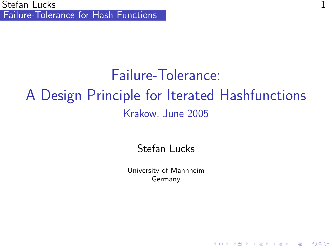# Failure-Tolerance: A Design Principle for Iterated Hashfunctions Krakow, June 2005

Stefan Lucks

<span id="page-0-0"></span>University of Mannheim Germany

**AD A REAKEN E VOOR**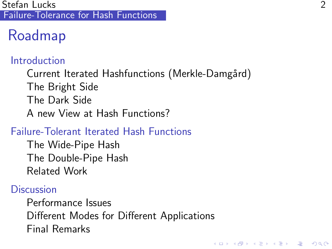Stefan Lucks 2 [Failure-Tolerance for Hash Functions](#page-0-0)

# Roadmap

#### [Introduction](#page-2-0)

Current Iterated Hashfunctions (Merkle-Damgård) [The Bright Side](#page-4-0) [The Dark Side](#page-5-0) [A new View at Hash Functions?](#page-12-0)

#### [Failure-Tolerant Iterated Hash Functions](#page-14-0)

[The Wide-Pipe Hash](#page-18-0) [The Double-Pipe Hash](#page-25-0) [Related Work](#page-37-0)

#### **[Discussion](#page-46-0)**

[Performance Issues](#page-47-0) [Different Modes for Different Applications](#page-50-0) [Final Remarks](#page-52-0)

**AD A REAKEN E VOOR**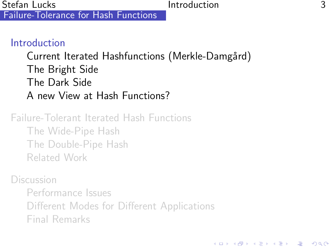### [Introduction](#page-2-0)

Current Iterated Hashfunctions (Merkle-Damgård) [The Bright Side](#page-4-0) [The Dark Side](#page-5-0) [A new View at Hash Functions?](#page-12-0)

[Failure-Tolerant Iterated Hash Functions](#page-14-0) [The Wide-Pipe Hash](#page-18-0) [The Double-Pipe Hash](#page-25-0) [Related Work](#page-37-0)

**[Discussion](#page-46-0)** 

<span id="page-2-0"></span>[Performance Issues](#page-47-0) [Different Modes for Different Applications](#page-50-0) [Final Remarks](#page-52-0)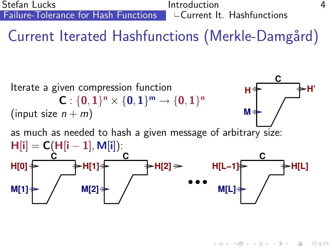Stefan Lucks **Introduction** [Failure-Tolerance for Hash Functions](#page-0-0)  $\Box$   $\Box$  Current It. Hashfunctions

イロト イ押 トイヨト イヨト

 $2Q$ 

Current Iterated Hashfunctions (Merkle-Damgård)

<span id="page-3-0"></span>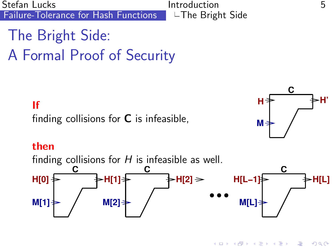Stefan Lucks Introduction 5 [Failure-Tolerance for Hash Functions](#page-0-0)

The Bright Side: A Formal Proof of Security

#### If

finding collisions for C is infeasible,



#### then

finding collisions for  $H$  is infeasible as well.

<span id="page-4-0"></span>

イロト イ伊 トイヨ トイヨト  $QQ$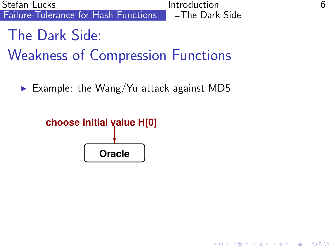Stefan Lucks Introduction 6 [Failure-Tolerance for Hash Functions](#page-0-0)

The Dark Side: Weakness of Compression Functions

Example: the Wang/Yu attack against MD5

<span id="page-5-0"></span>**choose initial value H[0] Oracle**

**KORK EX KEY KEY YOUR**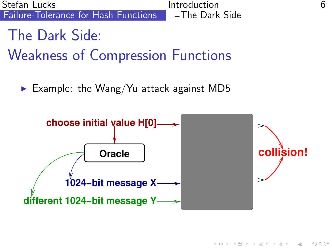Stefan Lucks Introduction 6<br>Failure-Tolerance for Hash Functions ∟The Dark Side [Failure-Tolerance for Hash Functions](#page-0-0)

The Dark Side: Weakness of Compression Functions

Example: the Wang/Yu attack against MD5



**AD A REAKEN E VOOR**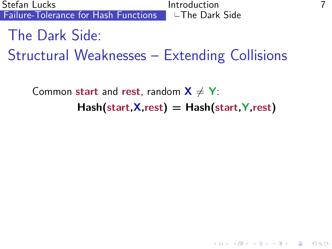Stefan Lucks Introduction 7 [Failure-Tolerance for Hash Functions](#page-0-0)

**KORK EX KEY KEY YOUR** 

# The Dark Side:

Structural Weaknesses – Extending Collisions

Common start and rest, random  $X \neq Y$ :  $Hash(start, X, rest) = Hash(start, Y, rest)$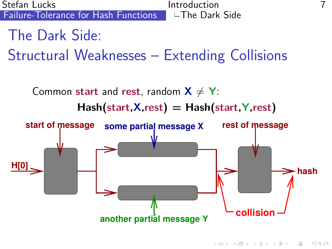Stefan Lucks<br>Introduction Introduction Failure-Tolerance for Hash Functions [Failure-Tolerance for Hash Functions](#page-0-0)

# The Dark Side:

Structural Weaknesses – Extending Collisions

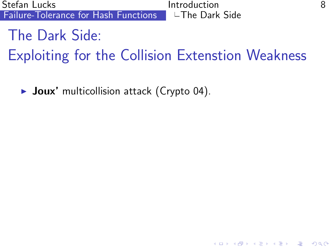8 Stefan Lucks<br>Failure-Tolerance for Hash Functions ∣ ∟The Dark Side [Failure-Tolerance for Hash Functions](#page-0-0)

# The Dark Side:

Exploiting for the Collision Extenstion Weakness

 $\triangleright$  Joux' multicollision attack (Crypto 04).

K ロ ▶ K @ ▶ K 할 > K 할 > 1 할 > 1 이익어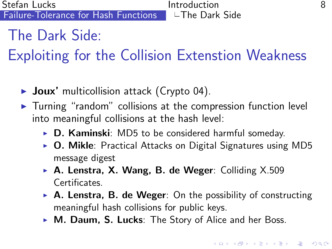8 Stefan Lucks<br>Failure-Tolerance for Hash Functions ∣ ∟The Dark Side [Failure-Tolerance for Hash Functions](#page-0-0)

# The Dark Side:

Exploiting for the Collision Extenstion Weakness

- $\triangleright$  Joux' multicollision attack (Crypto 04).
- $\triangleright$  Turning "random" collisions at the compression function level into meaningful collisions at the hash level:
	- $\triangleright$  D. Kaminski: MD5 to be considered harmful someday.
	- $\triangleright$  O. Mikle: Practical Attacks on Digital Signatures using MD5 message digest
	- $\triangleright$  A. Lenstra, X. Wang, B. de Weger: Colliding X.509 Certificates.
	- $\triangleright$  **A. Lenstra, B. de Weger**: On the possibility of constructing meaningful hash collisions for public keys.
	- $\triangleright$  M. Daum, S. Lucks: The Story of Alice and her Boss.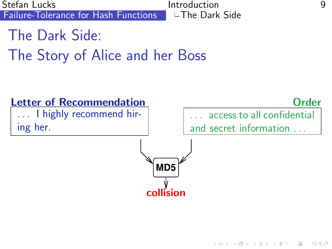9 Introduction<br>Failure-Tolerance for Hash Functions ∣ ∟The Dark Side [Failure-Tolerance for Hash Functions](#page-0-0)

The Dark Side: The Story of Alice and her Boss

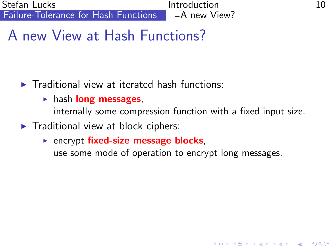Stefan Lucks Introduction 10 [Failure-Tolerance for Hash Functions](#page-0-0)  $\Box$   $\Box$  A new View?

**AD A REAKEN E VOOR** 

# A new View at Hash Functions?

- $\blacktriangleright$  Traditional view at iterated hash functions:
	- $\blacktriangleright$  hash long messages, internally some compression function with a fixed input size.
- <span id="page-12-0"></span> $\blacktriangleright$  Traditional view at block ciphers:
	- **P** encrypt fixed-size message blocks, use some mode of operation to encrypt long messages.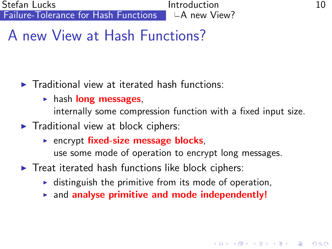Stefan Lucks Introduction 10 [Failure-Tolerance for Hash Functions](#page-0-0)  $\Box$  LA new View?

# A new View at Hash Functions?

- $\blacktriangleright$  Traditional view at iterated hash functions:
	- $\blacktriangleright$  hash long messages,
		- internally some compression function with a fixed input size.
- $\blacktriangleright$  Traditional view at block ciphers:
	- **P** encrypt fixed-size message blocks, use some mode of operation to encrypt long messages.
- $\blacktriangleright$  Treat iterated hash functions like block ciphers:
	- $\blacktriangleright$  distinguish the primitive from its mode of operation,
	- $\triangleright$  and analyse primitive and mode independently!

**AD A REAKEN E VOOR**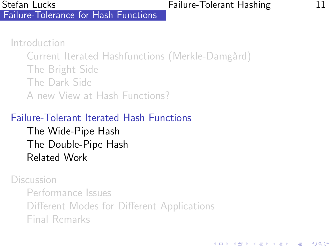[Introduction](#page-2-0)

Current Iterated Hashfunctions (Merkle-Damgård) [The Bright Side](#page-4-0) [The Dark Side](#page-5-0) [A new View at Hash Functions?](#page-12-0)

[Failure-Tolerant Iterated Hash Functions](#page-14-0) [The Wide-Pipe Hash](#page-18-0) [The Double-Pipe Hash](#page-25-0) [Related Work](#page-37-0)

**[Discussion](#page-46-0)** 

<span id="page-14-0"></span>[Performance Issues](#page-47-0) [Different Modes for Different Applications](#page-50-0) [Final Remarks](#page-52-0)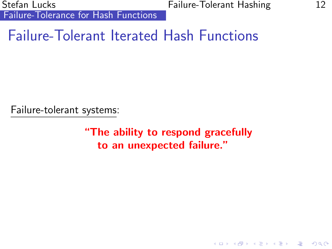Stefan Lucks **Failure-Tolerant Hashing** 12 [Failure-Tolerance for Hash Functions](#page-0-0)

## Failure-Tolerant Iterated Hash Functions

Failure-tolerant systems:

"The ability to respond gracefully to an unexpected failure."

**KORK EX KEY KEY YOUR**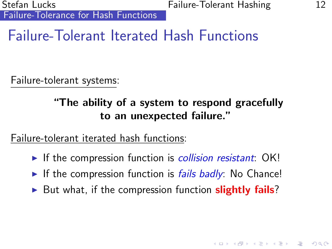Stefan Lucks Failure-Tolerant Hashing 12 [Failure-Tolerance for Hash Functions](#page-0-0)

# Failure-Tolerant Iterated Hash Functions

Failure-tolerant systems:

### "The ability of a system to respond gracefully to an unexpected failure."

Failure-tolerant iterated hash functions:

- If the compression function is *collision resistant*:  $OK!$
- If the compression function is *fails badly*: No Chance!
- $\triangleright$  But what, if the compression function **slightly fails**?

**AD A REAKEN E VOOR**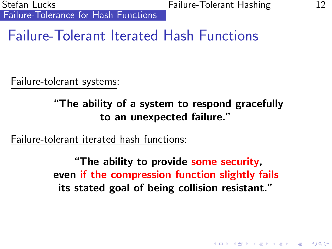Stefan Lucks Failure-Tolerant Hashing 12 [Failure-Tolerance for Hash Functions](#page-0-0)

## Failure-Tolerant Iterated Hash Functions

Failure-tolerant systems:

"The ability of a system to respond gracefully to an unexpected failure."

Failure-tolerant iterated hash functions:

"The ability to provide some security, even if the compression function slightly fails its stated goal of being collision resistant."

**KORK EX KEY KEY YOUR**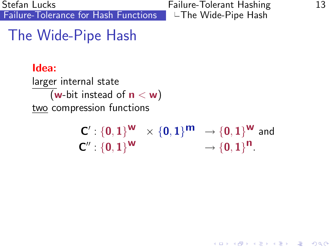Stefan Lucks **Failure-Tolerant Hashing** 13 [Failure-Tolerance for Hash Functions](#page-0-0)  $\Box$   $\Box$  The Wide-Pipe Hash

# The Wide-Pipe Hash

#### Idea:

larger internal state (w-bit instead of  $n < w$ ) two compression functions

<span id="page-18-0"></span>
$$
\begin{array}{ll}\textbf{C}' : \{0,1\}^{\textbf{W}} & \times \{0,1\}^{\textbf{m}} & \rightarrow \{0,1\}^{\textbf{W}} \text{ and } \\ \textbf{C}'' : \{0,1\}^{\textbf{W}} & \rightarrow \{0,1\}^{\textbf{n}}.\end{array}
$$

**KORK EX KEY KEY YOUR**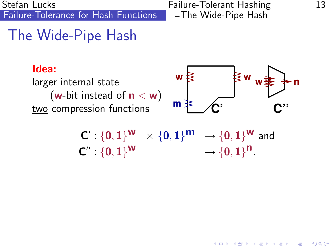Stefan Lucks **Failure-Tolerant Hashing** 13 [Failure-Tolerance for Hash Functions](#page-0-0)  $\Box$   $\Box$  The Wide-Pipe Hash

# The Wide-Pipe Hash

#### Idea: larger internal state (w-bit instead of  $n < w$ ) two compression functions



イロト イ押ト イヨト イヨト

 $\Rightarrow$ 

 $2Q$ 

$$
\begin{array}{ll} \boldsymbol{C}': \{0,1\}^{\boldsymbol{W}} & \times \{0,1\}^{\boldsymbol{m}} \longrightarrow \{0,1\}^{\boldsymbol{W}} \text{ and } \\ \boldsymbol{C}'': \{0,1\}^{\boldsymbol{W}} & \longrightarrow \{0,1\}^{\boldsymbol{n}}. \end{array}
$$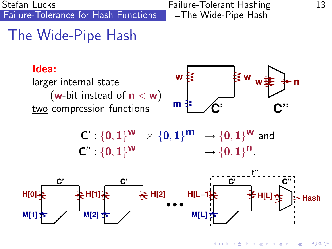Stefan Lucks Failure-Tolerant Hashing 13 [Failure-Tolerance for Hash Functions](#page-0-0)

# The Wide-Pipe Hash

#### Idea: larger internal state (w-bit instead of  $n < w$ ) two compression functions



$$
\begin{array}{ll}\textbf{C}' : \{0,1\}^{\textbf{W}} & \times \{0,1\}^{\textbf{m}} \rightarrow \{0,1\}^{\textbf{W}} \text{ and } \\ \textbf{C}'' : \{0,1\}^{\textbf{W}} & \rightarrow \{0,1\}^{\textbf{n}}.\end{array}
$$



 $4$  ロ )  $4$   $\overline{r}$  )  $4$   $\overline{z}$  )  $4$   $\overline{z}$  )  $\equiv$  $QQ$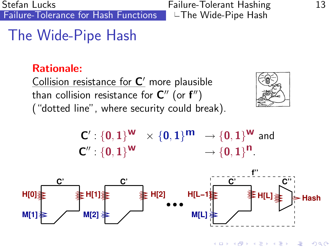Stefan Lucks **Failure-Tolerant Hashing** 13 [Failure-Tolerance for Hash Functions](#page-0-0)  $\Box$   $\Box$  The Wide-Pipe Hash

# The Wide-Pipe Hash

### Rationale:

Collision resistance for C' more plausible than collision resistance for  $\mathsf{C}''$  (or  $\mathsf{f}''$ ) ("dotted line", where security could break).



 $\mathsf{C}': \{\mathsf{0},\mathsf{1}\}^\mathsf{W} ~\times \{\mathsf{0},\mathsf{1}\}^\mathsf{I\hspace{-.1em}I\hspace{-.1em}I} \rightarrow \{\mathsf{0},\mathsf{1}\}^\mathsf{W}$  and  $C'' \setminus \{0,1\}$ w  $\longrightarrow \{0,1\}^n$ .



 $4$  ロ )  $4$   $\overline{r}$  )  $4$   $\overline{z}$  )  $4$   $\overline{z}$  )  $\equiv$  $2Q$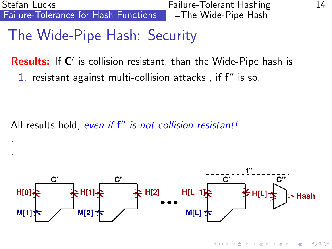. .

[Failure-Tolerance for Hash Functions](#page-0-0)  $\Box$   $\Box$  The Wide-Pipe Hash

## The Wide-Pipe Hash: Security

Results: If C' is collision resistant, than the Wide-Pipe hash is

1. resistant against multi-collision attacks, if  $f''$  is so,

All results hold, *even if* f" *is not collision resistant!* 



 $4$  ロ )  $4$   $\overline{r}$  )  $4$   $\overline{z}$  )  $4$   $\overline{z}$  )  $2Q$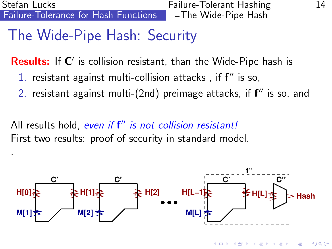.

[Failure-Tolerance for Hash Functions](#page-0-0)  $\Box$   $\Box$  The Wide-Pipe Hash

イロト イ押ト イヨト イヨト

 $\equiv$ 

 $QQ$ 

# The Wide-Pipe Hash: Security

Results: If C' is collision resistant, than the Wide-Pipe hash is

- 1. resistant against multi-collision attacks, if  $f''$  is so,
- 2. resistant against multi- $(2nd)$  preimage attacks, if  $f''$  is so, and

All results hold, *even if* f" *is not collision resistant!* First two results: proof of security in standard model.

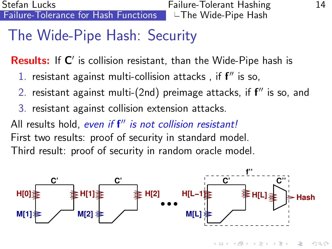# The Wide-Pipe Hash: Security

Results: If C' is collision resistant, than the Wide-Pipe hash is

- 1. resistant against multi-collision attacks, if  $f''$  is so,
- 2. resistant against multi- $(2nd)$  preimage attacks, if  $f''$  is so, and
- 3. resistant against collision extension attacks.

All results hold, even if f" is not collision resistant! First two results: proof of security in standard model. Third result: proof of security in random oracle model.



 $2Q$ 

 $\exists$  (  $\exists$  ) (  $\exists$  ) (  $\exists$  ) (  $\exists$  )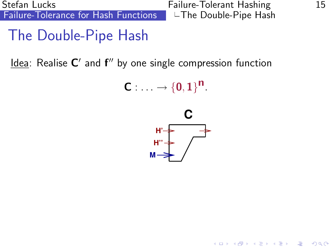Stefan Lucks Failure-Tolerant Hashing 15 [Failure-Tolerance for Hash Functions](#page-0-0) | LThe Double-Pipe Hash

K ロ ▶ K @ ▶ K 할 > K 할 > 1 할 > 1 이익어

# The Double-Pipe Hash

<span id="page-25-0"></span> $Idea$ : Realise  $C'$  and  $f''$  by one single compression function

 $C : ... \rightarrow {0,1}^n.$ 

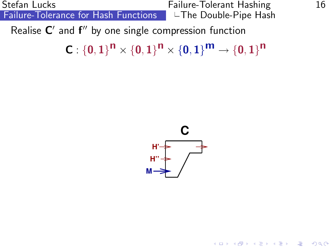Stefan Lucks **Failure-Tolerant Hashing** 16

 $\exists$  (  $\exists$  ) (  $\exists$  ) (  $\exists$  ) (  $\exists$  )

Realise  $C'$  and  $f''$  by one single compression function

 $C: \{0,1\}^{\mathsf{N}} \times \{0,1\}^{\mathsf{N}} \times \{0,1\}^{\mathsf{N}} \to \{0,1\}^{\mathsf{N}}$ 



 $2990$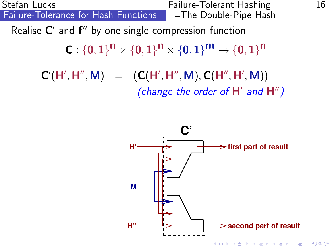Stefan Lucks **Failure-Tolerant Hashing** 16

Realise  $C'$  and  $f''$  by one single compression function

$$
\textbf{C}:\{0,1\}^n\times \{0,1\}^n\times \{0,1\}^m\rightarrow \{0,1\}^n
$$

 $C'(H', H'', M) = (C(H', H'', M), C(H'', H', M))$ (change the order of  $H'$  and  $H''$ )

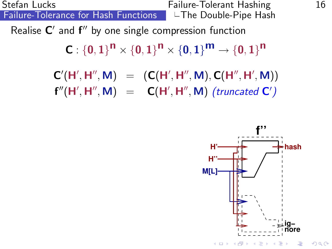Stefan Lucks **Failure-Tolerant Hashing** 16

Realise  $C'$  and  $f''$  by one single compression function

$$
\textbf{C}:\{0,1\}^{\textbf{N}}\times\{0,1\}^{\textbf{N}}\times\{0,1\}^{\textbf{M}}\rightarrow\{0,1\}^{\textbf{N}}
$$

 $C'(H', H'', M) = (C(H', H'', M), C(H'', H', M))$  ${\bf f}''({\bf H}',{\bf H}'',{\bf M})\;\;=\;\;\; {\bf C}({\bf H}',{\bf H}'',{\bf M})\,\,({\it truncated}\,\, {\bf C}')$ 



 $\Omega$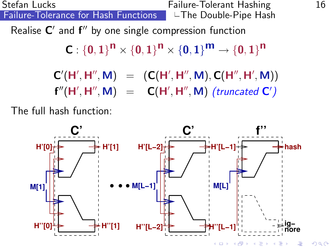Stefan Lucks **Failure-Tolerant Hashing** 16

Realise  $C'$  and  $f''$  by one single compression function

$$
C: \{0,1\}^n \times \{0,1\}^n \times \{0,1\}^m \rightarrow \{0,1\}^n
$$

 $C'(H', H'', M) = (C(H', H'', M), C(H'', H', M))$  ${\bf f}''({\bf H}',{\bf H}'',{\bf M})\;\;=\;\;\; {\bf C}({\bf H}',{\bf H}'',{\bf M})\,\,({\it truncated}\,\, {\bf C}')$ 

The full hash function:

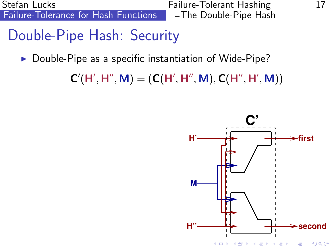Stefan Lucks **Failure-Tolerant Hashing** 17 [Failure-Tolerance for Hash Functions](#page-0-0)  $\Box$   $\Box$  The Double-Pipe Hash

# Double-Pipe Hash: Security

 $\triangleright$  Double-Pipe as a specific instantiation of Wide-Pipe?

 $C'(H', H'', M) = (C(H', H'', M), C(H'', H', M))$ 

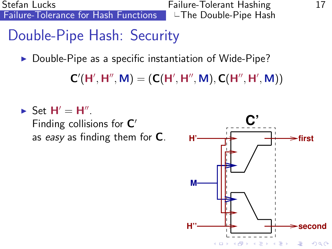Stefan Lucks Failure-Tolerant Hashing 17 [Failure-Tolerance for Hash Functions](#page-0-0)

# Double-Pipe Hash: Security

 $\triangleright$  Double-Pipe as a specific instantiation of Wide-Pipe?

 $C'(H', H'', M) = (C(H', H'', M), C(H'', H', M))$ 

 $\blacktriangleright$  Set  $H' = H''$ . Finding collisions for  $C'$ as easy as finding them for **C**.

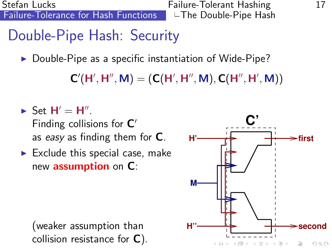Stefan Lucks Failure-Tolerant Hashing 17 [Failure-Tolerance for Hash Functions](#page-0-0)

# Double-Pipe Hash: Security

 $\triangleright$  Double-Pipe as a specific instantiation of Wide-Pipe?

 $C'(H', H'', M) = (C(H', H'', M), C(H'', H', M))$ 

- $\blacktriangleright$  Set  $H' = H''$ . Finding collisions for  $C'$ as easy as finding them for **C**.
- $\blacktriangleright$  Exclude this special case, make new assumption on C:

(weaker assumption than collision resistance for C).

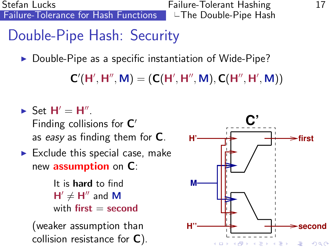Stefan Lucks **Failure-Tolerant Hashing** 17 [Failure-Tolerance for Hash Functions](#page-0-0)  $\Box$   $\Box$  The Double-Pipe Hash

# Double-Pipe Hash: Security

 $\triangleright$  Double-Pipe as a specific instantiation of Wide-Pipe?

 $C'(H', H'', M) = (C(H', H'', M), C(H'', H', M))$ 

 $\blacktriangleright$  Set  $H' = H''$ . Finding collisions for  $C'$ as easy as finding them for **C**.  $\blacktriangleright$  Exclude this special case, make new assumption on C: It is hard to find  $H' \neq H''$  and M with first  $=$  second (weaker assumption than collision resistance for C).

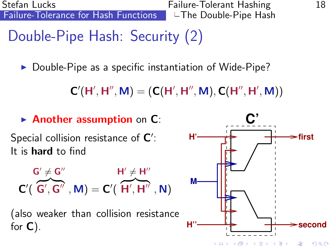Stefan Lucks Failure-Tolerant Hashing 18 [Failure-Tolerance for Hash Functions](#page-0-0)  $\Box$   $\Box$  The Double-Pipe Hash

# Double-Pipe Hash: Security (2)

 $\triangleright$  Double-Pipe as a specific instantiation of Wide-Pipe?

 $C'(H', H'', M) = (C(H', H'', M), C(H'', H', M))$ 

 $\blacktriangleright$  Another assumption on C:

Special collision resistance of  $C'$ : It is hard to find

$$
\begin{array}{c} G'\neq G'' \\ C'\big(\stackrel{\overline{G}'}{\overline{G'},\overline{G''}}\,,M\big)=C'\big(\stackrel{\overline{H}'}{\overline{H'},\overline{H''}}\,,N\big) \end{array}
$$

(also weaker than collision resistance for C).

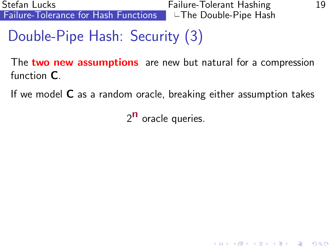Stefan Lucks Failure-Tolerant Hashing 19

**K ロ ▶ K @ ▶ K 할 X K 할 X → 할 X → 9 Q Q ^** 

# Double-Pipe Hash: Security (3)

The two new assumptions are new but natural for a compression function C.

If we model C as a random oracle, breaking either assumption takes

2<sup>n</sup> oracle queries.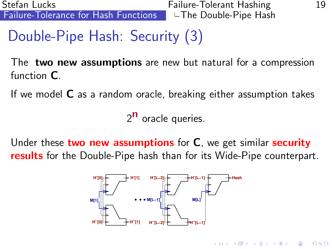**AD A REAKEN E VOOR** 

# Double-Pipe Hash: Security (3)

The two new assumptions are new but natural for a compression function C.

If we model C as a random oracle, breaking either assumption takes

2<sup>n</sup> oracle queries.

Under these two new assumptions for  $C$ , we get similar security results for the Double-Pipe hash than for its Wide-Pipe counterpart.

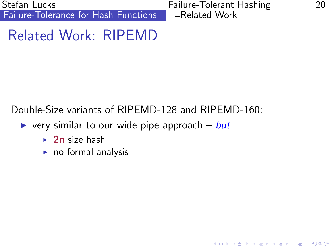Stefan Lucks Failure-Tolerant Hashing 20 [Failure-Tolerance for Hash Functions](#page-0-0)

**KOD KAR KED KED E YAN** 

# Related Work: RIPEMD

## Double-Size variants of RIPEMD-128 and RIPEMD-160:

- <span id="page-37-0"></span>riangleright very similar to our wide-pipe approach – but
	- $\rightarrow$  2n size hash
	- $\triangleright$  no formal analysis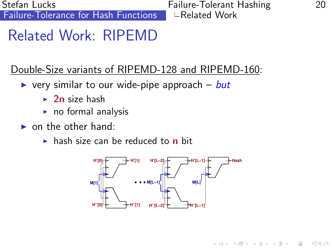Stefan Lucks Failure-Tolerant Hashing 20  $Failure-Tolerance$  for Hash Functions  $R = Related Work$ 

# Related Work: RIPEMD

Double-Size variants of RIPEMD-128 and RIPEMD-160:

- riangleright very similar to our wide-pipe approach but
	- $\blacktriangleright$  2n size hash
	- $\triangleright$  no formal analysis
- $\triangleright$  on the other hand:
	- $\triangleright$  hash size can be reduced to **n** bit



**AD A REAKEN E VOOR**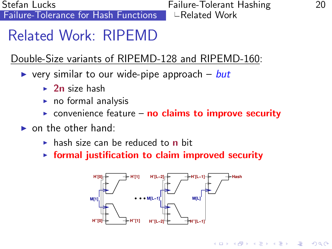$Failure-Tolerance$  for Hash Functions  $R = Related Work$ 

Stefan Lucks Failure-Tolerant Hashing 20

# Related Work: RIPEMD

Double-Size variants of RIPEMD-128 and RIPEMD-160:

- riangleright very similar to our wide-pipe approach but
	- $\blacktriangleright$  2n size hash
	- $\triangleright$  no formal analysis
	- **EXECUTE:** convenience feature **no claims to improve security**
- $\triangleright$  on the other hand:
	- $\triangleright$  hash size can be reduced to **n** bit
	- $\triangleright$  formal justification to claim improved security

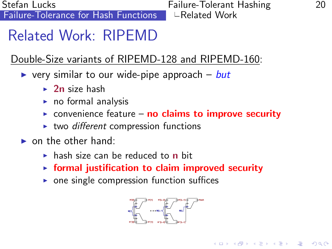[Failure-Tolerance for Hash Functions](#page-0-0)

Stefan Lucks Failure-Tolerant Hashing 20

# Related Work: RIPEMD

Double-Size variants of RIPEMD-128 and RIPEMD-160:

- riary similar to our wide-pipe approach but
	- $\rightarrow$  2n size hash
	- $\triangleright$  no formal analysis
	- **EX** convenience feature **no claims to improve security**
	- $\triangleright$  two different compression functions
- $\triangleright$  on the other hand:
	- $\triangleright$  hash size can be reduced to **n** bit
	- $\triangleright$  formal justification to claim improved security
	- $\triangleright$  one single compression function suffices



**AD A REAKEN E VOOR**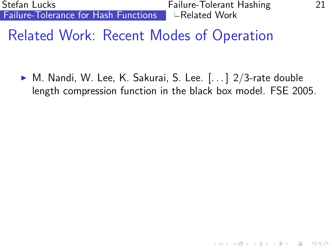Stefan Lucks Failure-Tolerant Hashing 21 [Failure-Tolerance for Hash Functions](#page-0-0)  $\Box$  **LRelated Work** 

## Related Work: Recent Modes of Operation

 $\triangleright$  M. Nandi, W. Lee, K. Sakurai, S. Lee.  $\left[ \ldots \right]$  2/3-rate double length compression function in the black box model. FSE 2005.

**AD A REAKEN E VOOR**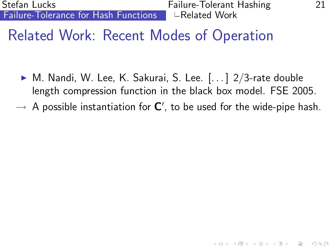Stefan Lucks Failure-Tolerant Hashing 21  $Failure-Tolerance$  for Hash Functions  $R = Related Work$ 

## Related Work: Recent Modes of Operation

- $\triangleright$  M. Nandi, W. Lee, K. Sakurai, S. Lee.  $\left[ \ldots \right]$  2/3-rate double length compression function in the black box model. FSE 2005.
- $\rightarrow$  A possible instantiation for  $\textbf{C}^\prime$ , to be used for the wide-pipe hash.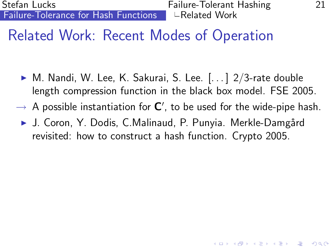Stefan Lucks Failure-Tolerant Hashing 21  $Failure-Tolerance$  for Hash Functions  $R = Related Work$ 

## Related Work: Recent Modes of Operation

- $\triangleright$  M. Nandi, W. Lee, K. Sakurai, S. Lee.  $\left[ \ldots \right]$  2/3-rate double length compression function in the black box model. FSE 2005.
- $\rightarrow$  A possible instantiation for  $\textbf{C}^\prime$ , to be used for the wide-pipe hash.
- ▶ J. Coron, Y. Dodis, C.Malinaud, P. Punyia. Merkle-Damgård revisited: how to construct a hash function. Crypto 2005.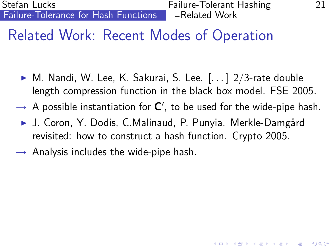Stefan Lucks Failure-Tolerant Hashing 21  $Failure-Tolerance$  for Hash Functions  $R = Related Work$ 

# Related Work: Recent Modes of Operation

- $\triangleright$  M. Nandi, W. Lee, K. Sakurai, S. Lee.  $\left[ \ldots \right]$  2/3-rate double length compression function in the black box model. FSE 2005.
- $\rightarrow$  A possible instantiation for  $\textbf{C}^\prime$ , to be used for the wide-pipe hash.
- ▶ J. Coron, Y. Dodis, C.Malinaud, P. Punyia. Merkle-Damgård revisited: how to construct a hash function. Crypto 2005.
- $\rightarrow$  Analysis includes the wide-pipe hash.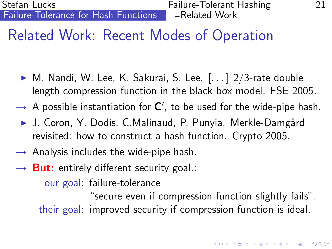$Failure-Tolerance$  for Hash Functions  $R = Related Work$ 

## Related Work: Recent Modes of Operation

- $\triangleright$  M. Nandi, W. Lee, K. Sakurai, S. Lee.  $\left[ \ldots \right]$  2/3-rate double length compression function in the black box model. FSE 2005.
- $\rightarrow$  A possible instantiation for  $\textbf{C}^\prime$ , to be used for the wide-pipe hash.
- ▶ J. Coron, Y. Dodis, C.Malinaud, P. Punyia. Merkle-Damgård revisited: how to construct a hash function. Crypto 2005.
- $\rightarrow$  Analysis includes the wide-pipe hash.
- $\rightarrow$  **But:** entirely different security goal.:

our goal: failure-tolerance

"secure even if compression function slightly fails". their goal: improved security if compression function is ideal.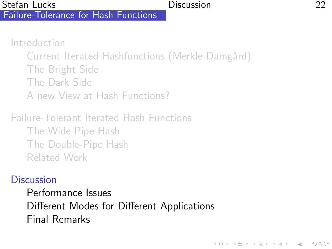[Introduction](#page-2-0) Current Iterated Hashfunctions (Merkle-Damgård) [The Bright Side](#page-4-0) [The Dark Side](#page-5-0) [A new View at Hash Functions?](#page-12-0)

[Failure-Tolerant Iterated Hash Functions](#page-14-0) [The Wide-Pipe Hash](#page-18-0) [The Double-Pipe Hash](#page-25-0) [Related Work](#page-37-0)

### **[Discussion](#page-46-0)**

<span id="page-46-0"></span>[Performance Issues](#page-47-0) [Different Modes for Different Applications](#page-50-0) [Final Remarks](#page-52-0)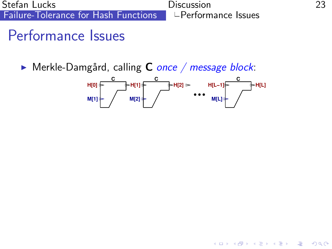# Performance Issues

<span id="page-47-0"></span> $\triangleright$  Merkle-Damgård, calling C once / message block:

$$
H[0] \begin{picture}(100,10) \put(0,0){\line(1,0){100}} \put(10,0){\line(1,0){100}} \put(10,0){\line(1,0){100}} \put(10,0){\line(1,0){100}} \put(10,0){\line(1,0){100}} \put(10,0){\line(1,0){100}} \put(10,0){\line(1,0){100}} \put(10,0){\line(1,0){100}} \put(10,0){\line(1,0){100}} \put(10,0){\line(1,0){100}} \put(10,0){\line(1,0){100}} \put(10,0){\line(1,0){100}} \put(10,0){\line(1,0){100}} \put(10,0){\line(1,0){100}} \put(10,0){\line(1,0){100}} \put(10,0){\line(1,0){100}} \put(10,0){\line(1,0){100}} \put(10,0){\line(1,0){100}} \put(10,0){\line(1,0){100}} \put(10,0){\line(1,0){100}} \put(10,0){\line(1,0){100}} \put(10,0){\line(1,0){100}} \put(10,0){\line(1,0){100}} \put(10,0){\line(1,0){100}} \put(10,0){\line(1,0){100}} \put(10,0){\line(1,0){100}} \put(10,0){\line(1,0){100}} \put(10,0){\line(1,0){100}} \put(10,0){\line(1,0){100}} \put(10,0){\line(1,0){100}} \put(10,0){\line(1,0){100}} \put(10,0){\line(1,0){100}} \put(10,0){\line(1,0){100}} \put(10,0){\line(1,0){100}} \put(10,0){\line(1,0){100}} \put(10,0){\line(1,0){100}} \put(10,0){\line(1,0){100}} \put(10,0){\line(1,0){100}} \put(10,0){\line(1,0){100}} \put(
$$

K ロ ▶ K @ ▶ K 할 > K 할 > 1 할 > 1 이익어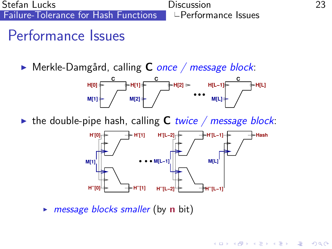Stefan Lucks Discussion 23 [Failure-Tolerance for Hash Functions](#page-0-0)  $\Box$  **Performance Issues** 

# Performance Issues

 $\triangleright$  Merkle-Damgård, calling C once / message block:



In the double-pipe hash, calling C twice / message block:



 $\triangleright$  message blocks smaller (by **n** bit)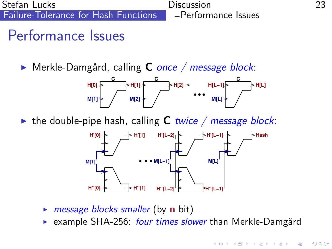Stefan Lucks Discussion 23 [Failure-Tolerance for Hash Functions](#page-0-0)  $\Box$  Performance Issues

# Performance Issues

 $\triangleright$  Merkle-Damgård, calling C once / message block:



In the double-pipe hash, calling C twice / message block:



- $\triangleright$  message blocks smaller (by **n** bit)
- ► example SHA-256: four times slower than Merkle-Damgård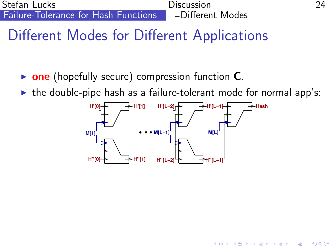# Different Modes for Different Applications

- $\triangleright$  one (hopefully secure) compression function C.
- <span id="page-50-0"></span> $\triangleright$  the double-pipe hash as a failure-tolerant mode for normal app's:

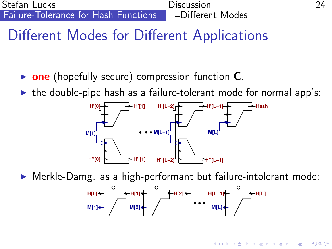Stefan Lucks Discussion 24 [Failure-Tolerance for Hash Functions](#page-0-0)  $\Box$   $\Box$  Different Modes

# Different Modes for Different Applications

- $\triangleright$  one (hopefully secure) compression function C.
- $\triangleright$  the double-pipe hash as a failure-tolerant mode for normal app's:



Merkle-Damg. as a high-performant but failure-intolerant mode:

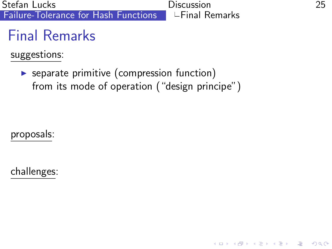# Final Remarks

suggestions:

 $\triangleright$  separate primitive (compression function) from its mode of operation ("design principe")

proposals:

<span id="page-52-0"></span>challenges: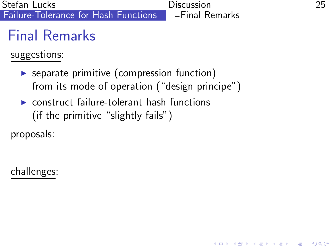# Final Remarks

suggestions:

- $\triangleright$  separate primitive (compression function) from its mode of operation ("design principe")
- $\triangleright$  construct failure-tolerant hash functions (if the primitive "slightly fails")

proposals:

challenges: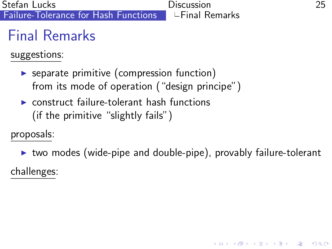# Final Remarks

suggestions:

- $\triangleright$  separate primitive (compression function) from its mode of operation ("design principe")
- $\triangleright$  construct failure-tolerant hash functions (if the primitive "slightly fails")

proposals:

 $\triangleright$  two modes (wide-pipe and double-pipe), provably failure-tolerant

challenges: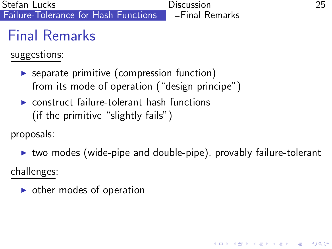# Final Remarks

suggestions:

- $\triangleright$  separate primitive (compression function) from its mode of operation ("design principe")
- $\triangleright$  construct failure-tolerant hash functions (if the primitive "slightly fails")

proposals:

 $\triangleright$  two modes (wide-pipe and double-pipe), provably failure-tolerant

challenges:

 $\triangleright$  other modes of operation